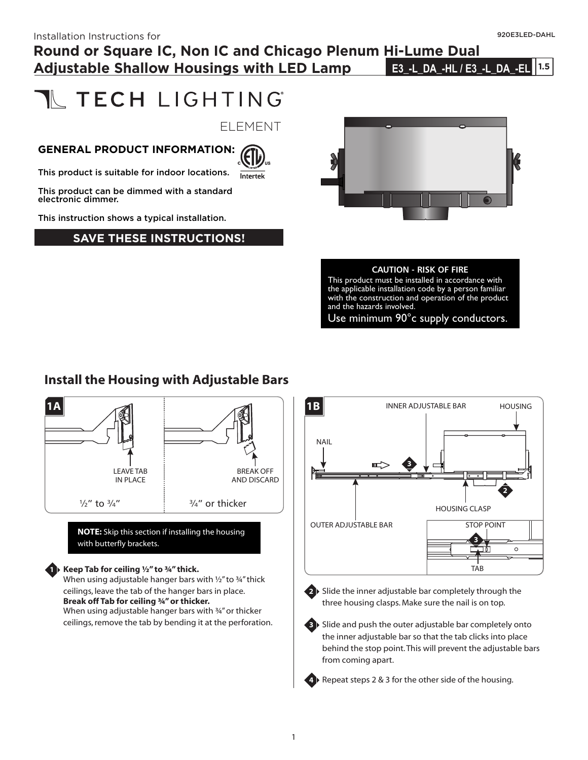# **Round or Square IC, Non IC and Chicago Plenum Hi-Lume Dual Adjustable Shallow Housings with LED Lamp**

**1.5 E3\_-L\_DA\_-HL / E3\_-L\_DA\_-EL**

# **N** TECH LIGHTING

ELEMENT

#### **GENERAL PRODUCT INFORMATION:**



This product is suitable for indoor locations.

This product can be dimmed with a standard electronic dimmer.

This instruction shows a typical installation.

#### **SAVE THESE INSTRUCTIONS!**



#### **CAUTION - RISK OF FIRE**

This product must be installed in accordance with the applicable installation code by a person familiar with the construction and operation of the product and the hazards involved.

Use minimum 90°c supply conductors.

#### **Install the Housing with Adjustable Bars**



**NOTE:** Skip this section if installing the housing with butterfly brackets.

#### **Keep Tab for ceiling ½" to ¾" thick.**

**1**

When using adjustable hanger bars with 1/2" to 34" thick ceilings, leave the tab of the hanger bars in place. **Break off Tab for ceiling ¾" or thicker.** When using adjustable hanger bars with ¾" or thicker ceilings, remove the tab by bending it at the perforation.





**2** Slide the inner adjustable bar completely through the three housing clasps. Make sure the nail is on top.

**3** Slide and push the outer adjustable bar completely onto the inner adjustable bar so that the tab clicks into place behind the stop point.This will prevent the adjustable bars from coming apart.

**4** Repeat steps 2 & 3 for the other side of the housing.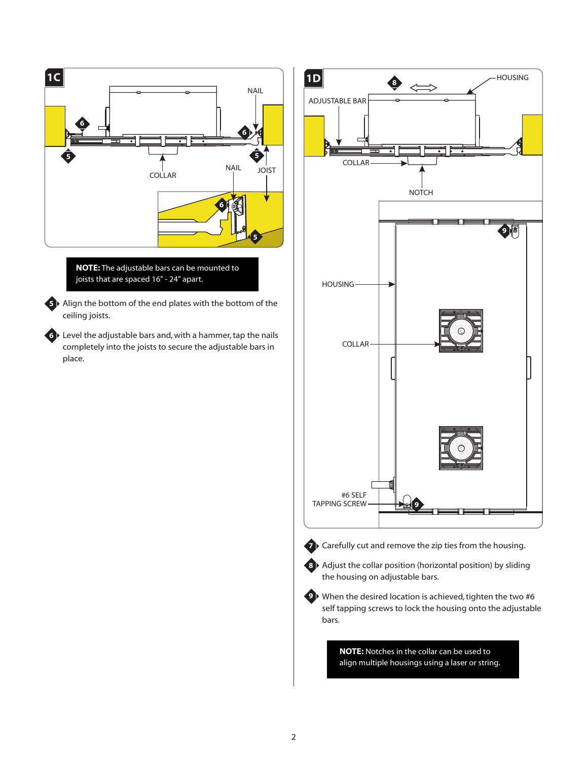

**NOTE:** The adjustable bars can be mounted to joists that are spaced 16" - 24" apart.

**5** ▶ Align the bottom of the end plates with the bottom of the ceiling joists.

Level the adjustable bars and, with a hammer, tap the nails **6** completely into the joists to secure the adjustable bars in place.



align multiple housings using a laser or string.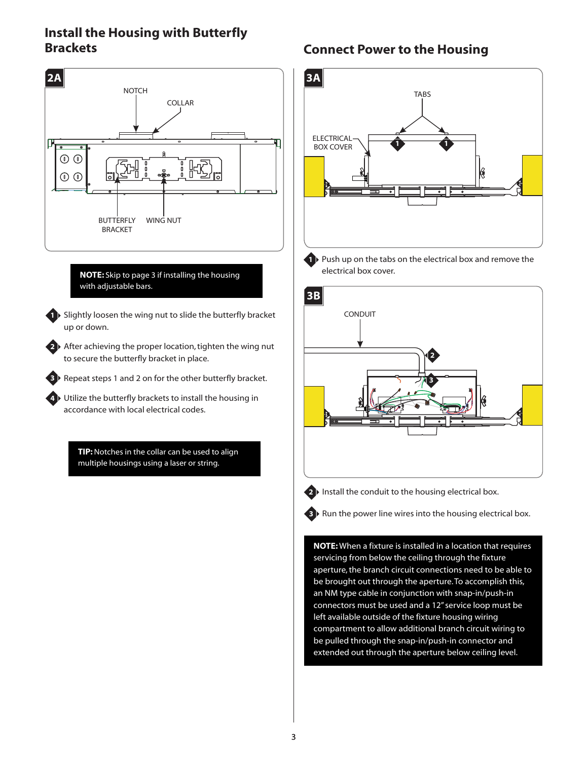#### **Install the Housing with Butterfly Brackets Connect Power to the Housing**



#### **NOTE:** Skip to page 3 if installing the housing with adjustable bars.

**1** Slightly loosen the wing nut to slide the butterfly bracket up or down.

2<sup>)</sup> After achieving the proper location, tighten the wing nut to secure the butterfly bracket in place.

**3** Repeat steps 1 and 2 on for the other butterfly bracket.

Utilize the butterfly brackets to install the housing in **4** accordance with local electrical codes.

> **TIP:** Notches in the collar can be used to align multiple housings using a laser or string.



1 Push up on the tabs on the electrical box and remove the electrical box cover.





2<sup>1</sup> Install the conduit to the housing electrical box.

**3** Run the power line wires into the housing electrical box.

**NOTE:** When a fixture is installed in a location that requires servicing from below the ceiling through the fixture aperture, the branch circuit connections need to be able to be brought out through the aperture.To accomplish this, an NM type cable in conjunction with snap-in/push-in connectors must be used and a 12" service loop must be left available outside of the fixture housing wiring compartment to allow additional branch circuit wiring to be pulled through the snap-in/push-in connector and extended out through the aperture below ceiling level.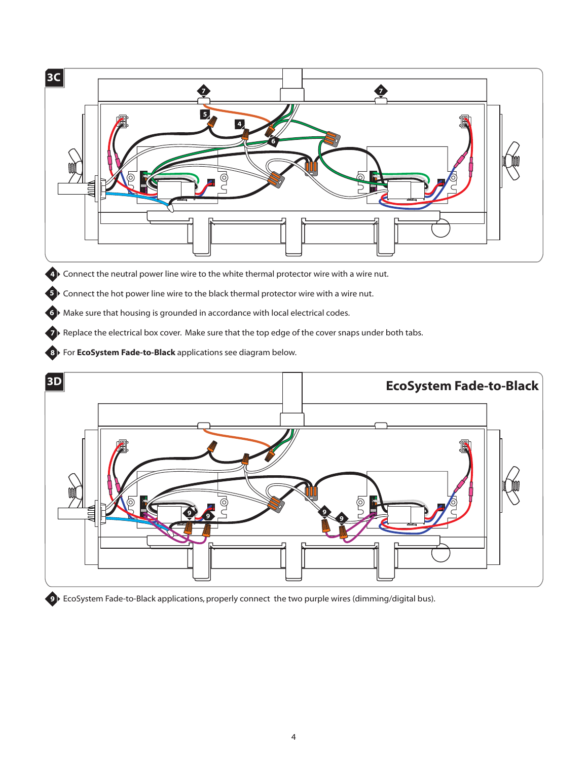

EcoSystem Fade-to-Black applications, properly connect the two purple wires (dimming/digital bus).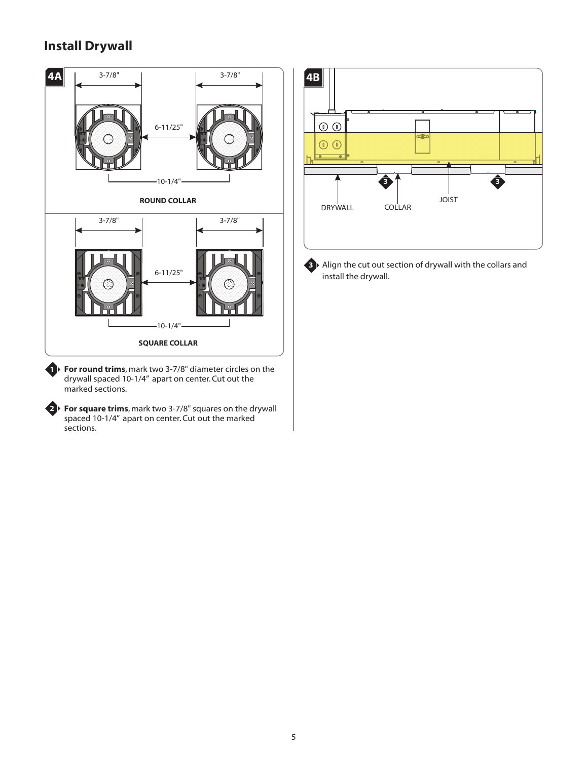## **Install Drywall**

**2**



**For round trims**, mark two 3-7/8" diameter circles on the **1** drywall spaced 10-1/4" apart on center. Cut out the marked sections.

**For square trims**, mark two 3-7/8" squares on the drywall spaced 10-1/4" apart on center. Cut out the marked sections.



**3** ▶ Align the cut out section of drywall with the collars and install the drywall.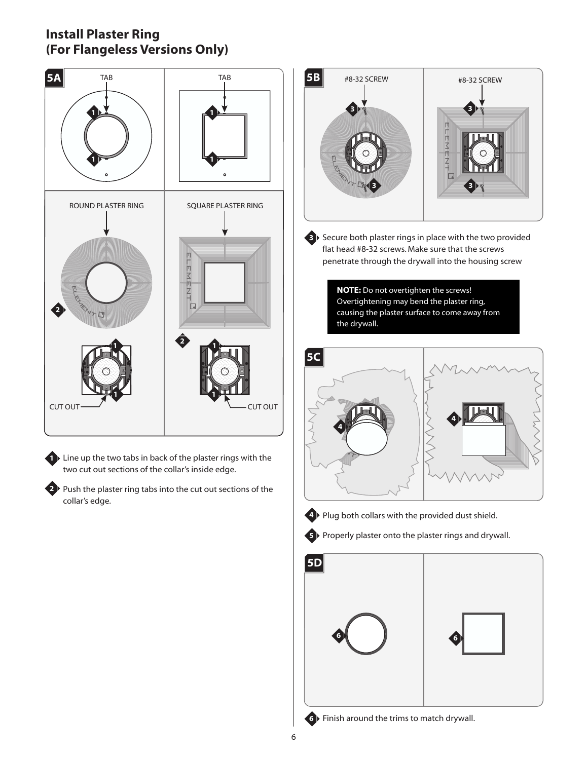#### **Install Plaster Ring (For Flangeless Versions Only)**



**1** Line up the two tabs in back of the plaster rings with the two cut out sections of the collar's inside edge.

2<sup>1</sup> Push the plaster ring tabs into the cut out sections of the collar's edge.



**3** Secure both plaster rings in place with the two provided flat head #8-32 screws. Make sure that the screws penetrate through the drywall into the housing screw

> **NOTE:** Do not overtighten the screws! Overtightening may bend the plaster ring, causing the plaster surface to come away from the drywall.





**4 ▶ Plug both collars with the provided dust shield.** 





**6** Finish around the trims to match drywall.